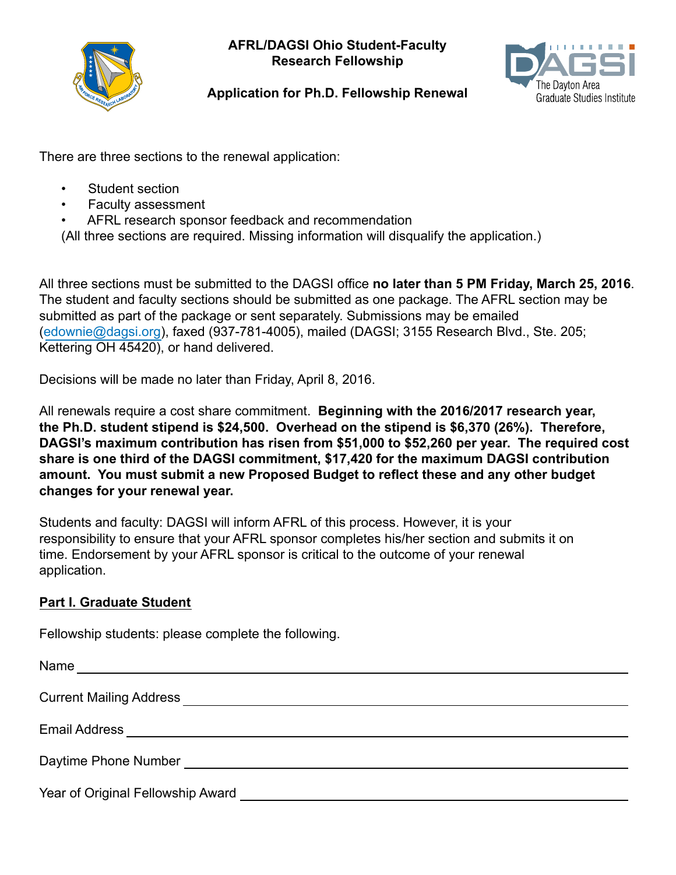

**AFRL/DAGSI Ohio Student-Faculty Research Fellowship**



# **Application for Ph.D. Fellowship Renewal**

There are three sections to the renewal application:

- Student section
- Faculty assessment
- AFRL research sponsor feedback and recommendation

(All three sections are required. Missing information will disqualify the application.)

All three sections must be submitted to the DAGSI office **no later than 5 PM Friday, March 25, 2016**. The student and faculty sections should be submitted as one package. The AFRL section may be submitted as part of the package or sent separately. Submissions may be emailed (edownie@dagsi.org), faxed (937-781-4005), mailed (DAGSI; 3155 Research Blvd., Ste. 205; Kettering OH 45420), or hand delivered.

Decisions will be made no later than Friday, April 8, 2016.

All renewals require a cost share commitment. **Beginning with the 2016/2017 research year, the Ph.D. student stipend is \$24,500. Overhead on the stipend is \$6,370 (26%). Therefore, DAGSI's maximum contribution has risen from \$51,000 to \$52,260 per year. The required cost share is one third of the DAGSI commitment, \$17,420 for the maximum DAGSI contribution amount. You must submit a new Proposed Budget to reflect these and any other budget changes for your renewal year.**

Students and faculty: DAGSI will inform AFRL of this process. However, it is your responsibility to ensure that your AFRL sponsor completes his/her section and submits it on time. Endorsement by your AFRL sponsor is critical to the outcome of your renewal application.

# **Part I. Graduate Student**

Fellowship students: please complete the following.

| Name                                                                               |
|------------------------------------------------------------------------------------|
| <b>Current Mailing Address</b>                                                     |
|                                                                                    |
| Daytime Phone Number <b>Example 20</b> Number                                      |
| Year of Original Fellowship Award News American State of Original Fellowship Award |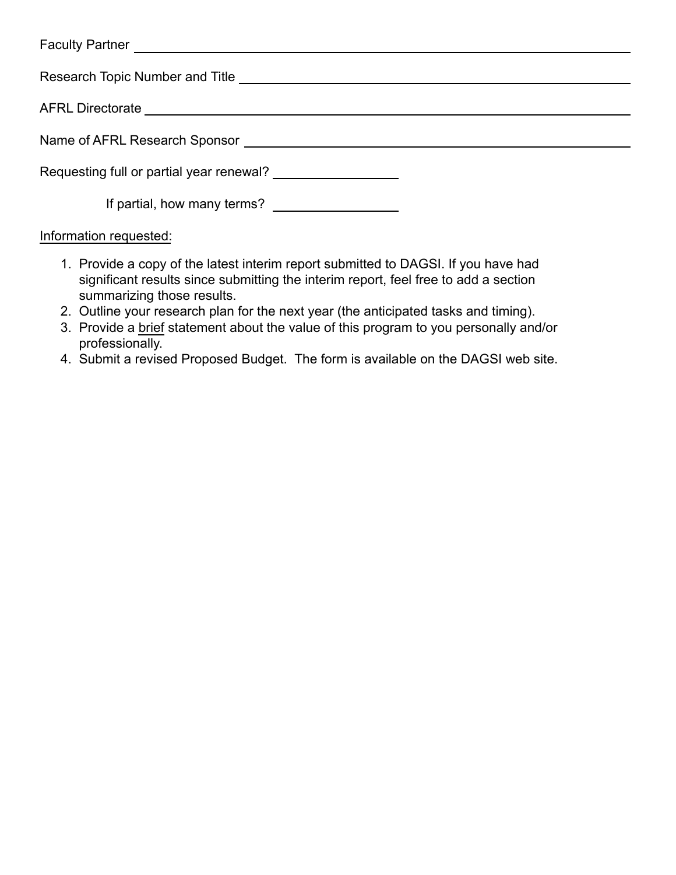| Name of AFRL Research Sponsor Learning Communication of AFRL Research Sponsor |
|-------------------------------------------------------------------------------|
| Requesting full or partial year renewal?                                      |
| If partial, how many terms?                                                   |
|                                                                               |

### Information requested:

- 1. Provide a copy of the latest interim report submitted to DAGSI. If you have had significant results since submitting the interim report, feel free to add a section summarizing those results.
- 2. Outline your research plan for the next year (the anticipated tasks and timing).
- 3. Provide a brief statement about the value of this program to you personally and/or professionally.
- 4. Submit a revised Proposed Budget. The form is available on the DAGSI web site.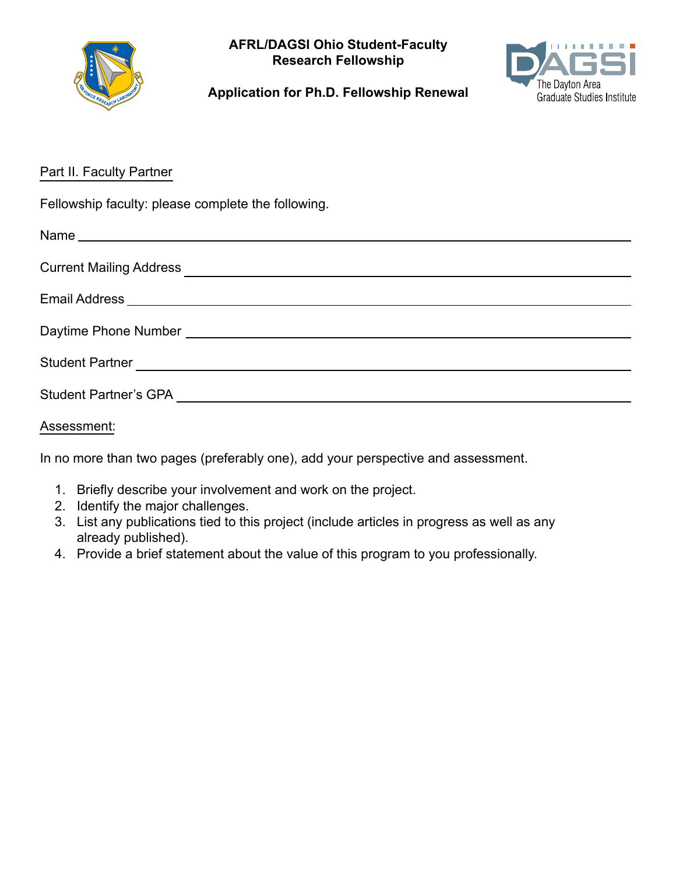

**AFRL/DAGSI Ohio Student-Faculty Research Fellowship**



**Application for Ph.D. Fellowship Renewal**

## Part II. Faculty Partner

Fellowship faculty: please complete the following.

| Email Address <b>contract and the contract of the contract of the contract of the contract of the contract of the contract of the contract of the contract of the contract of the contract of the contract of the contract of th</b> |
|--------------------------------------------------------------------------------------------------------------------------------------------------------------------------------------------------------------------------------------|
|                                                                                                                                                                                                                                      |
|                                                                                                                                                                                                                                      |
|                                                                                                                                                                                                                                      |
|                                                                                                                                                                                                                                      |

### Assessment:

In no more than two pages (preferably one), add your perspective and assessment.

- 1. Briefly describe your involvement and work on the project.
- 2. Identify the major challenges.
- 3. List any publications tied to this project (include articles in progress as well as any already published).
- 4. Provide a brief statement about the value of this program to you professionally.